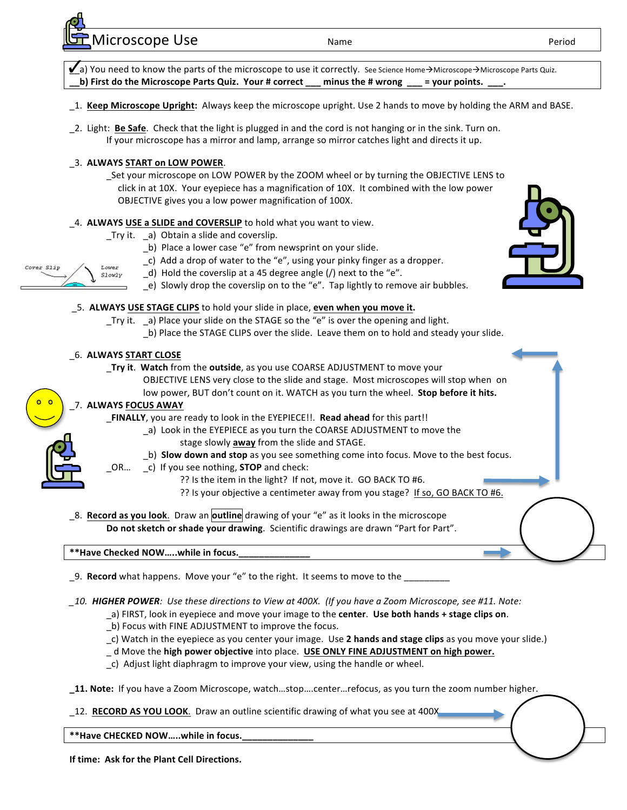Microscope Use and the Name Name Period Period Period Period Period Period Period Period Period Period Period



- \_9. **Record** what happens. Move your "e" to the right. It seems to move to the
- 10. **HIGHER POWER**: Use these directions to View at 400X. (If you have a Zoom Microscope, see #11. Note:
	- a) FIRST, look in eyepiece and move your image to the **center**. Use both hands + stage clips on.
	- \_b) Focus with FINE ADJUSTMENT to improve the focus.
	- \_c) Watch in the eyepiece as you center your image. Use 2 hands and stage clips as you move your slide.)
	- \_ d Move the **high power objective** into place. **USE ONLY FINE ADJUSTMENT on high power.**
	- \_c) Adjust light diaphragm to improve your view, using the handle or wheel.
- **\_11.** Note: If you have a Zoom Microscope, watch...stop....center...refocus, as you turn the zoom number higher.
- \_12. **RECORD AS YOU LOOK**. Draw an outline scientific drawing of what you see at 400X.

\*\*Have CHECKED NOW .....while in focus.

**If time: Ask for the Plant Cell Directions.**